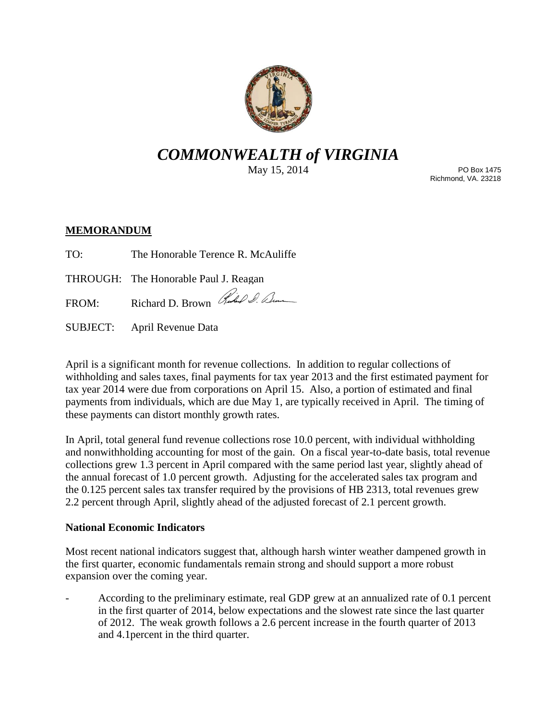

# *COMMONWEALTH of VIRGINIA*

May 15, 2014

PO Box 1475 Richmond, VA. 23218

## **MEMORANDUM**

TO: The Honorable Terence R. McAuliffe

THROUGH: The Honorable Paul J. Reagan

FROM: Richard D. Brown Red & alme

SUBJECT: April Revenue Data

April is a significant month for revenue collections. In addition to regular collections of withholding and sales taxes, final payments for tax year 2013 and the first estimated payment for tax year 2014 were due from corporations on April 15. Also, a portion of estimated and final payments from individuals, which are due May 1, are typically received in April. The timing of these payments can distort monthly growth rates.

In April, total general fund revenue collections rose 10.0 percent, with individual withholding and nonwithholding accounting for most of the gain. On a fiscal year-to-date basis, total revenue collections grew 1.3 percent in April compared with the same period last year, slightly ahead of the annual forecast of 1.0 percent growth. Adjusting for the accelerated sales tax program and the 0.125 percent sales tax transfer required by the provisions of HB 2313, total revenues grew 2.2 percent through April, slightly ahead of the adjusted forecast of 2.1 percent growth.

## **National Economic Indicators**

Most recent national indicators suggest that, although harsh winter weather dampened growth in the first quarter, economic fundamentals remain strong and should support a more robust expansion over the coming year.

- According to the preliminary estimate, real GDP grew at an annualized rate of 0.1 percent in the first quarter of 2014, below expectations and the slowest rate since the last quarter of 2012. The weak growth follows a 2.6 percent increase in the fourth quarter of 2013 and 4.1percent in the third quarter.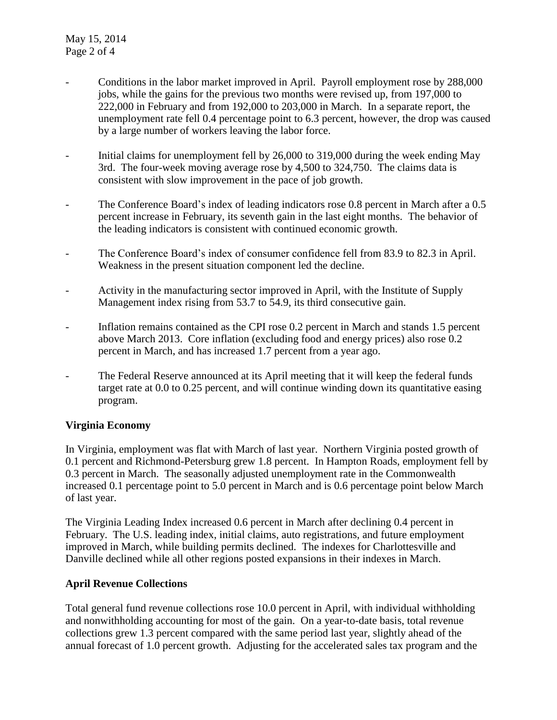- Conditions in the labor market improved in April. Payroll employment rose by 288,000 jobs, while the gains for the previous two months were revised up, from 197,000 to 222,000 in February and from 192,000 to 203,000 in March. In a separate report, the unemployment rate fell 0.4 percentage point to 6.3 percent, however, the drop was caused by a large number of workers leaving the labor force.
- Initial claims for unemployment fell by 26,000 to 319,000 during the week ending May 3rd. The four-week moving average rose by 4,500 to 324,750. The claims data is consistent with slow improvement in the pace of job growth.
- The Conference Board's index of leading indicators rose 0.8 percent in March after a 0.5 percent increase in February, its seventh gain in the last eight months. The behavior of the leading indicators is consistent with continued economic growth.
- The Conference Board's index of consumer confidence fell from 83.9 to 82.3 in April. Weakness in the present situation component led the decline.
- Activity in the manufacturing sector improved in April, with the Institute of Supply Management index rising from 53.7 to 54.9, its third consecutive gain.
- Inflation remains contained as the CPI rose 0.2 percent in March and stands 1.5 percent above March 2013. Core inflation (excluding food and energy prices) also rose 0.2 percent in March, and has increased 1.7 percent from a year ago.
- The Federal Reserve announced at its April meeting that it will keep the federal funds target rate at 0.0 to 0.25 percent, and will continue winding down its quantitative easing program.

## **Virginia Economy**

In Virginia, employment was flat with March of last year. Northern Virginia posted growth of 0.1 percent and Richmond-Petersburg grew 1.8 percent. In Hampton Roads, employment fell by 0.3 percent in March. The seasonally adjusted unemployment rate in the Commonwealth increased 0.1 percentage point to 5.0 percent in March and is 0.6 percentage point below March of last year.

The Virginia Leading Index increased 0.6 percent in March after declining 0.4 percent in February. The U.S. leading index, initial claims, auto registrations, and future employment improved in March, while building permits declined. The indexes for Charlottesville and Danville declined while all other regions posted expansions in their indexes in March.

## **April Revenue Collections**

Total general fund revenue collections rose 10.0 percent in April, with individual withholding and nonwithholding accounting for most of the gain. On a year-to-date basis, total revenue collections grew 1.3 percent compared with the same period last year, slightly ahead of the annual forecast of 1.0 percent growth. Adjusting for the accelerated sales tax program and the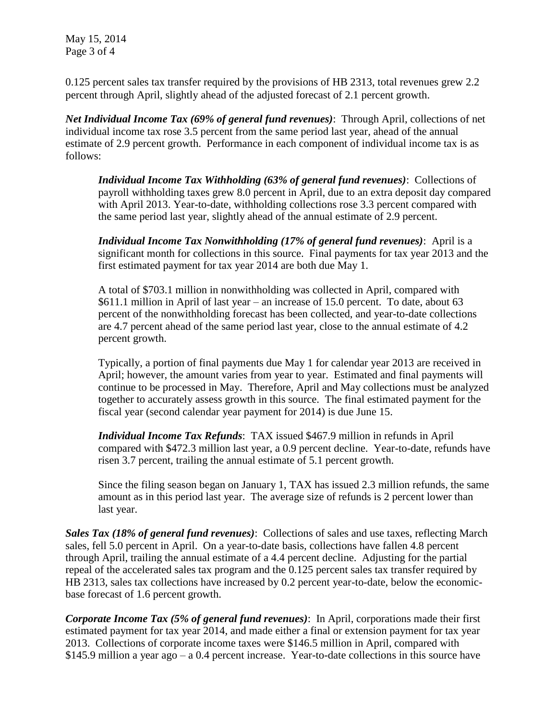May 15, 2014 Page 3 of 4

0.125 percent sales tax transfer required by the provisions of HB 2313, total revenues grew 2.2 percent through April, slightly ahead of the adjusted forecast of 2.1 percent growth.

*Net Individual Income Tax (69% of general fund revenues)*: Through April, collections of net individual income tax rose 3.5 percent from the same period last year, ahead of the annual estimate of 2.9 percent growth. Performance in each component of individual income tax is as follows:

*Individual Income Tax Withholding (63% of general fund revenues)*: Collections of payroll withholding taxes grew 8.0 percent in April, due to an extra deposit day compared with April 2013. Year-to-date, withholding collections rose 3.3 percent compared with the same period last year, slightly ahead of the annual estimate of 2.9 percent.

*Individual Income Tax Nonwithholding (17% of general fund revenues)*: April is a significant month for collections in this source. Final payments for tax year 2013 and the first estimated payment for tax year 2014 are both due May 1.

A total of \$703.1 million in nonwithholding was collected in April, compared with \$611.1 million in April of last year – an increase of 15.0 percent. To date, about 63 percent of the nonwithholding forecast has been collected, and year-to-date collections are 4.7 percent ahead of the same period last year, close to the annual estimate of 4.2 percent growth.

Typically, a portion of final payments due May 1 for calendar year 2013 are received in April; however, the amount varies from year to year. Estimated and final payments will continue to be processed in May. Therefore, April and May collections must be analyzed together to accurately assess growth in this source. The final estimated payment for the fiscal year (second calendar year payment for 2014) is due June 15.

*Individual Income Tax Refunds*: TAX issued \$467.9 million in refunds in April compared with \$472.3 million last year, a 0.9 percent decline. Year-to-date, refunds have risen 3.7 percent, trailing the annual estimate of 5.1 percent growth.

Since the filing season began on January 1, TAX has issued 2.3 million refunds, the same amount as in this period last year. The average size of refunds is 2 percent lower than last year.

*Sales Tax (18% of general fund revenues)*: Collections of sales and use taxes, reflecting March sales, fell 5.0 percent in April. On a year-to-date basis, collections have fallen 4.8 percent through April, trailing the annual estimate of a 4.4 percent decline. Adjusting for the partial repeal of the accelerated sales tax program and the 0.125 percent sales tax transfer required by HB 2313, sales tax collections have increased by 0.2 percent year-to-date, below the economicbase forecast of 1.6 percent growth.

*Corporate Income Tax (5% of general fund revenues)*: In April, corporations made their first estimated payment for tax year 2014, and made either a final or extension payment for tax year 2013. Collections of corporate income taxes were \$146.5 million in April, compared with \$145.9 million a year ago – a 0.4 percent increase. Year-to-date collections in this source have